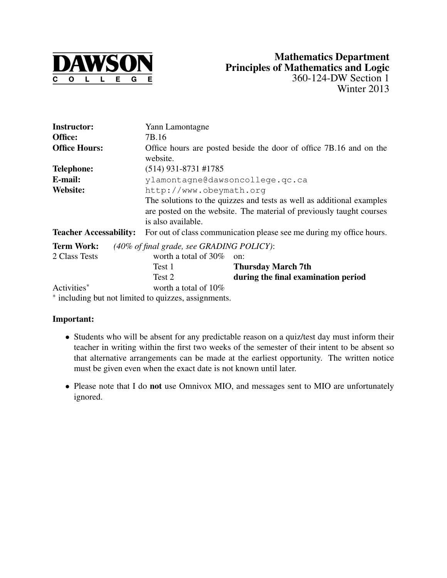

| <b>Instructor:</b>                                   | Yann Lamontagne                                                       |                                     |  |  |
|------------------------------------------------------|-----------------------------------------------------------------------|-------------------------------------|--|--|
| Office:                                              | 7B.16                                                                 |                                     |  |  |
| <b>Office Hours:</b>                                 | Office hours are posted beside the door of office 7B.16 and on the    |                                     |  |  |
|                                                      | website.                                                              |                                     |  |  |
| <b>Telephone:</b>                                    | $(514)$ 931-8731 #1785                                                |                                     |  |  |
| E-mail:                                              | ylamontagne@dawsoncollege.gc.ca                                       |                                     |  |  |
| Website:                                             | http://www.obeymath.org                                               |                                     |  |  |
|                                                      | The solutions to the quizzes and tests as well as additional examples |                                     |  |  |
|                                                      | are posted on the website. The material of previously taught courses  |                                     |  |  |
|                                                      | is also available.                                                    |                                     |  |  |
| <b>Teacher Accessability:</b>                        | For out of class communication please see me during my office hours.  |                                     |  |  |
| <b>Term Work:</b>                                    | $(40\% \text{ of final grade, see GRADING POLICY):$                   |                                     |  |  |
| 2 Class Tests                                        | worth a total of $30\%$                                               | on:                                 |  |  |
|                                                      | Test 1                                                                | <b>Thursday March 7th</b>           |  |  |
|                                                      | Test 2                                                                | during the final examination period |  |  |
| Activities*                                          | worth a total of $10\%$                                               |                                     |  |  |
| * including but not limited to quizzes, assignments. |                                                                       |                                     |  |  |

### Important:

- Students who will be absent for any predictable reason on a quiz/test day must inform their teacher in writing within the first two weeks of the semester of their intent to be absent so that alternative arrangements can be made at the earliest opportunity. The written notice must be given even when the exact date is not known until later.
- Please note that I do not use Omnivox MIO, and messages sent to MIO are unfortunately ignored.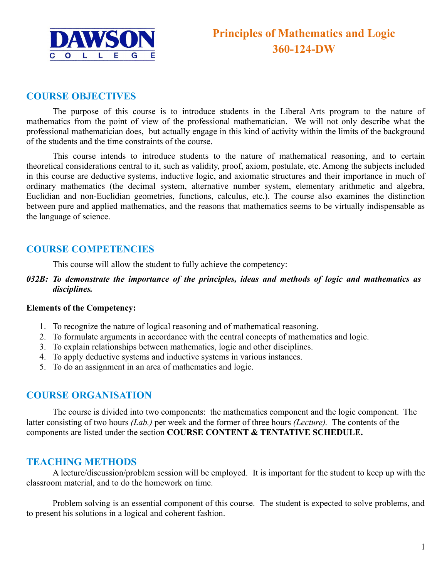

### **COURSE OBJECTIVES**

The purpose of this course is to introduce students in the Liberal Arts program to the nature of mathematics from the point of view of the professional mathematician. We will not only describe what the professional mathematician does, but actually engage in this kind of activity within the limits of the background of the students and the time constraints of the course.

This course intends to introduce students to the nature of mathematical reasoning, and to certain theoretical considerations central to it, such as validity, proof, axiom, postulate, etc. Among the subjects included in this course are deductive systems, inductive logic, and axiomatic structures and their importance in much of ordinary mathematics (the decimal system, alternative number system, elementary arithmetic and algebra, Euclidian and non-Euclidian geometries, functions, calculus, etc.). The course also examines the distinction between pure and applied mathematics, and the reasons that mathematics seems to be virtually indispensable as the language of science.

### **COURSE COMPETENCIES**

This course will allow the student to fully achieve the competency:

*032B: To demonstrate the importance of the principles, ideas and methods of logic and mathematics as disciplines.* 

#### **Elements of the Competency:**

- 1. To recognize the nature of logical reasoning and of mathematical reasoning.
- 2. To formulate arguments in accordance with the central concepts of mathematics and logic.
- 3. To explain relationships between mathematics, logic and other disciplines.
- 4. To apply deductive systems and inductive systems in various instances.
- 5. To do an assignment in an area of mathematics and logic.

### **COURSE ORGANISATION**

The course is divided into two components: the mathematics component and the logic component. The latter consisting of two hours *(Lab.)* per week and the former of three hours *(Lecture).* The contents of the components are listed under the section **COURSE CONTENT & TENTATIVE SCHEDULE.**

### **TEACHING METHODS**

A lecture/discussion/problem session will be employed. It is important for the student to keep up with the classroom material, and to do the homework on time.

Problem solving is an essential component of this course. The student is expected to solve problems, and to present his solutions in a logical and coherent fashion.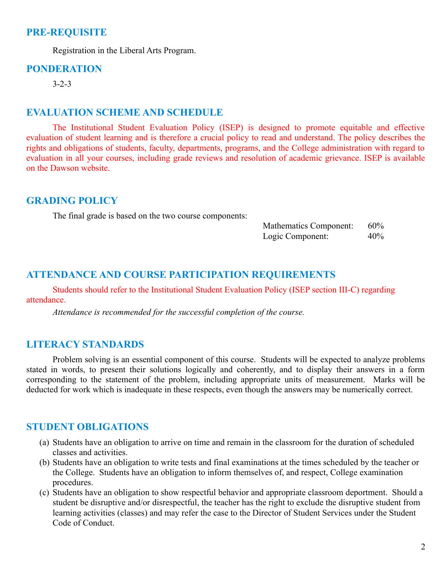### **PRE-REQUISITE**

Registration in the Liberal Arts Program.

### **PONDERATION**

3-2-3

#### **EVALUATION SCHEME AND SCHEDULE**

The Institutional Student Evaluation Policy (ISEP) is designed to promote equitable and effective evaluation of student learning and is therefore a crucial policy to read and understand. The policy describes the rights and obligations of students, faculty, departments, programs, and the College administration with regard to evaluation in all your courses, including grade reviews and resolution of academic grievance. ISEP is available on the Dawson website.

### **GRADING POLICY**

The final grade is based on the two course components:

| <b>Mathematics Component:</b> | 60% |
|-------------------------------|-----|
| Logic Component:              | 40% |

### **ATTENDANCE AND COURSE PARTICIPATION REQUIREMENTS**

Students should refer to the Institutional Student Evaluation Policy (ISEP section III-C) regarding attendance.

*Attendance is recommended for the successful completion of the course.*

### **LITERACY STANDARDS**

Problem solving is an essential component of this course. Students will be expected to analyze problems stated in words, to present their solutions logically and coherently, and to display their answers in a form corresponding to the statement of the problem, including appropriate units of measurement. Marks will be deducted for work which is inadequate in these respects, even though the answers may be numerically correct.

### **STUDENT OBLIGATIONS**

- (a) Students have an obligation to arrive on time and remain in the classroom for the duration of scheduled classes and activities.
- (b) Students have an obligation to write tests and final examinations at the times scheduled by the teacher or the College. Students have an obligation to inform themselves of, and respect, College examination procedures.
- (c) Students have an obligation to show respectful behavior and appropriate classroom deportment. Should a student be disruptive and/or disrespectful, the teacher has the right to exclude the disruptive student from learning activities (classes) and may refer the case to the Director of Student Services under the Student Code of Conduct.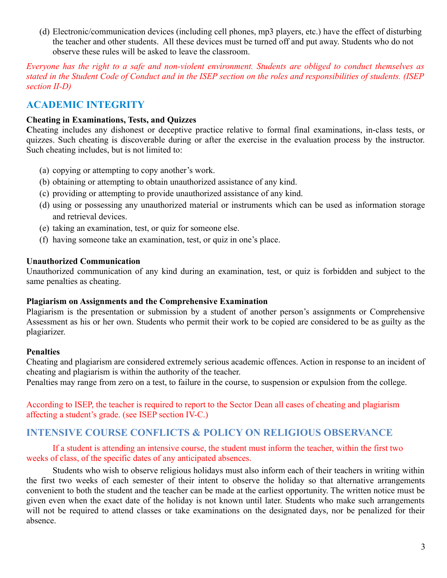(d) Electronic/communication devices (including cell phones, mp3 players, etc.) have the effect of disturbing the teacher and other students. All these devices must be turned off and put away. Students who do not observe these rules will be asked to leave the classroom.

*Everyone has the right to a safe and non-violent environment. Students are obliged to conduct themselves as stated in the Student Code of Conduct and in the ISEP section on the roles and responsibilities of students. (ISEP section II-D)*

# **ACADEMIC INTEGRITY**

### **Cheating in Examinations, Tests, and Quizzes**

**C**heating includes any dishonest or deceptive practice relative to formal final examinations, in-class tests, or quizzes. Such cheating is discoverable during or after the exercise in the evaluation process by the instructor. Such cheating includes, but is not limited to:

- (a) copying or attempting to copy another's work.
- (b) obtaining or attempting to obtain unauthorized assistance of any kind.
- (c) providing or attempting to provide unauthorized assistance of any kind.
- (d) using or possessing any unauthorized material or instruments which can be used as information storage and retrieval devices.
- (e) taking an examination, test, or quiz for someone else.
- (f) having someone take an examination, test, or quiz in one's place.

### **Unauthorized Communication**

Unauthorized communication of any kind during an examination, test, or quiz is forbidden and subject to the same penalties as cheating.

#### **Plagiarism on Assignments and the Comprehensive Examination**

Plagiarism is the presentation or submission by a student of another person's assignments or Comprehensive Assessment as his or her own. Students who permit their work to be copied are considered to be as guilty as the plagiarizer.

### **Penalties**

Cheating and plagiarism are considered extremely serious academic offences. Action in response to an incident of cheating and plagiarism is within the authority of the teacher.

Penalties may range from zero on a test, to failure in the course, to suspension or expulsion from the college.

According to ISEP, the teacher is required to report to the Sector Dean all cases of cheating and plagiarism affecting a student's grade. (see ISEP section IV-C.)

### **INTENSIVE COURSE CONFLICTS & POLICY ON RELIGIOUS OBSERVANCE**

If a student is attending an intensive course, the student must inform the teacher, within the first two weeks of class, of the specific dates of any anticipated absences.

Students who wish to observe religious holidays must also inform each of their teachers in writing within the first two weeks of each semester of their intent to observe the holiday so that alternative arrangements convenient to both the student and the teacher can be made at the earliest opportunity. The written notice must be given even when the exact date of the holiday is not known until later. Students who make such arrangements will not be required to attend classes or take examinations on the designated days, nor be penalized for their absence.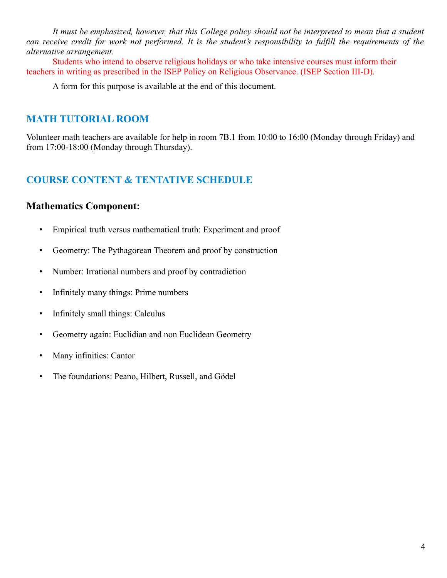*It must be emphasized, however, that this College policy should not be interpreted to mean that a student can receive credit for work not performed. It is the student's responsibility to fulfill the requirements of the alternative arrangement.*

Students who intend to observe religious holidays or who take intensive courses must inform their teachers in writing as prescribed in the ISEP Policy on Religious Observance. (ISEP Section III-D).

A form for this purpose is available at the end of this document.

# **MATH TUTORIAL ROOM**

Volunteer math teachers are available for help in room 7B.1 from 10:00 to 16:00 (Monday through Friday) and from 17:00-18:00 (Monday through Thursday).

# **COURSE CONTENT & TENTATIVE SCHEDULE**

## **Mathematics Component:**

- Empirical truth versus mathematical truth: Experiment and proof
- Geometry: The Pythagorean Theorem and proof by construction
- Number: Irrational numbers and proof by contradiction
- Infinitely many things: Prime numbers
- Infinitely small things: Calculus
- Geometry again: Euclidian and non Euclidean Geometry
- Many infinities: Cantor
- The foundations: Peano, Hilbert, Russell, and Gödel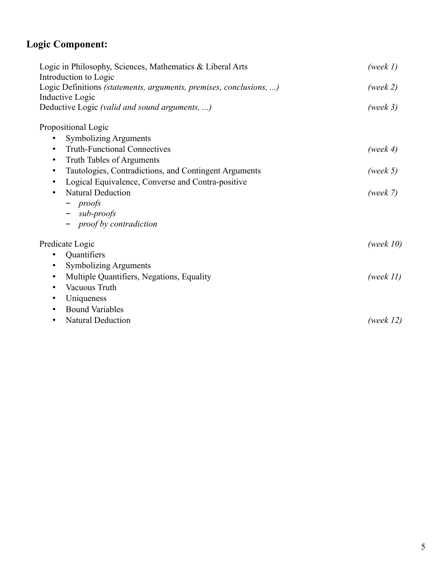# **Logic Component:**

| Logic in Philosophy, Sciences, Mathematics & Liberal Arts<br>Introduction to Logic    | (week $l$ )  |  |
|---------------------------------------------------------------------------------------|--------------|--|
| Logic Definitions (statements, arguments, premises, conclusions, )<br>Inductive Logic | (week 2)     |  |
| Deductive Logic (valid and sound arguments, )                                         | (week 3)     |  |
| Propositional Logic                                                                   |              |  |
| <b>Symbolizing Arguments</b>                                                          |              |  |
| <b>Truth-Functional Connectives</b><br>٠                                              | (week $4$ )  |  |
| Truth Tables of Arguments<br>$\bullet$                                                |              |  |
| Tautologies, Contradictions, and Contingent Arguments<br>$\bullet$                    | (week $5)$   |  |
| Logical Equivalence, Converse and Contra-positive<br>$\bullet$                        |              |  |
| <b>Natural Deduction</b><br>$\bullet$                                                 | (week 7)     |  |
| $-$ proofs                                                                            |              |  |
| $-$ sub-proofs                                                                        |              |  |
| - proof by contradiction                                                              |              |  |
| Predicate Logic                                                                       | (week $10$ ) |  |
| Quantifiers                                                                           |              |  |
| <b>Symbolizing Arguments</b>                                                          |              |  |
| Multiple Quantifiers, Negations, Equality<br>$\bullet$                                | (week $11$ ) |  |
| Vacuous Truth<br>$\bullet$                                                            |              |  |
| Uniqueness<br>$\bullet$                                                               |              |  |
| <b>Bound Variables</b><br>$\bullet$                                                   |              |  |
| <b>Natural Deduction</b><br>$\bullet$                                                 | (week $12$ ) |  |
|                                                                                       |              |  |